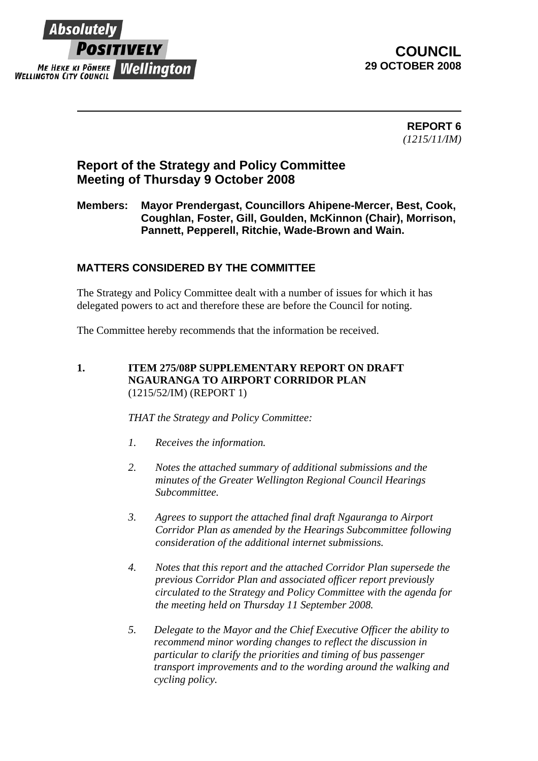

**COUNCIL 29 OCTOBER 2008** 

> **REPORT 6**  *(1215/11/IM)*

# **Report of the Strategy and Policy Committee Meeting of Thursday 9 October 2008**

# **Members: Mayor Prendergast, Councillors Ahipene-Mercer, Best, Cook, Coughlan, Foster, Gill, Goulden, McKinnon (Chair), Morrison, Pannett, Pepperell, Ritchie, Wade-Brown and Wain.**

# **MATTERS CONSIDERED BY THE COMMITTEE**

The Strategy and Policy Committee dealt with a number of issues for which it has delegated powers to act and therefore these are before the Council for noting.

The Committee hereby recommends that the information be received.

#### **1. ITEM 275/08P SUPPLEMENTARY REPORT ON DRAFT NGAURANGA TO AIRPORT CORRIDOR PLAN** (1215/52/IM) (REPORT 1)

*THAT the Strategy and Policy Committee:*

- *1. Receives the information.*
- *2. Notes the attached summary of additional submissions and the minutes of the Greater Wellington Regional Council Hearings Subcommittee.*
- *3. Agrees to support the attached final draft Ngauranga to Airport Corridor Plan as amended by the Hearings Subcommittee following consideration of the additional internet submissions.*
- *4. Notes that this report and the attached Corridor Plan supersede the previous Corridor Plan and associated officer report previously circulated to the Strategy and Policy Committee with the agenda for the meeting held on Thursday 11 September 2008.*
- *5. Delegate to the Mayor and the Chief Executive Officer the ability to recommend minor wording changes to reflect the discussion in particular to clarify the priorities and timing of bus passenger transport improvements and to the wording around the walking and cycling policy.*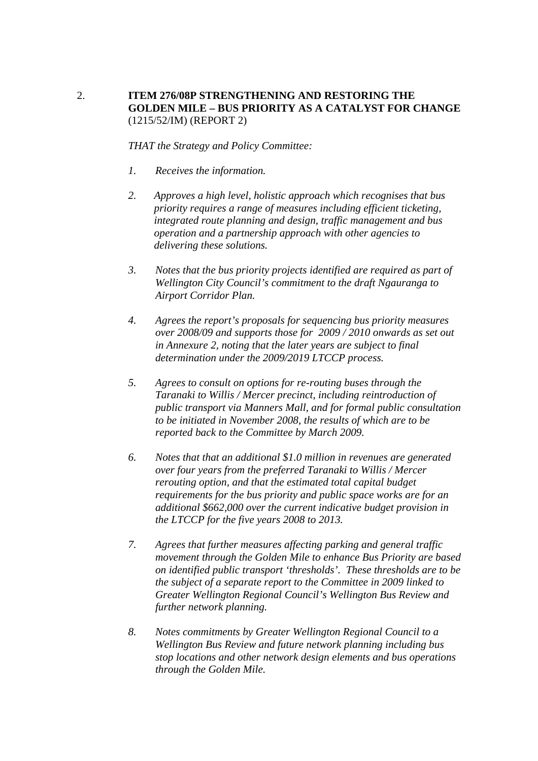## 2. **ITEM 276/08P STRENGTHENING AND RESTORING THE GOLDEN MILE – BUS PRIORITY AS A CATALYST FOR CHANGE**  (1215/52/IM) (REPORT 2)

*THAT the Strategy and Policy Committee:*

- *1. Receives the information.*
- *2. Approves a high level, holistic approach which recognises that bus priority requires a range of measures including efficient ticketing, integrated route planning and design, traffic management and bus operation and a partnership approach with other agencies to delivering these solutions.*
- *3. Notes that the bus priority projects identified are required as part of Wellington City Council's commitment to the draft Ngauranga to Airport Corridor Plan.*
- *4. Agrees the report's proposals for sequencing bus priority measures over 2008/09 and supports those for 2009 / 2010 onwards as set out in Annexure 2, noting that the later years are subject to final determination under the 2009/2019 LTCCP process.*
- *5. Agrees to consult on options for re-routing buses through the Taranaki to Willis / Mercer precinct, including reintroduction of public transport via Manners Mall, and for formal public consultation to be initiated in November 2008, the results of which are to be reported back to the Committee by March 2009.*
- *6. Notes that that an additional \$1.0 million in revenues are generated over four years from the preferred Taranaki to Willis / Mercer rerouting option, and that the estimated total capital budget requirements for the bus priority and public space works are for an additional \$662,000 over the current indicative budget provision in the LTCCP for the five years 2008 to 2013.*
- *7. Agrees that further measures affecting parking and general traffic movement through the Golden Mile to enhance Bus Priority are based on identified public transport 'thresholds'. These thresholds are to be the subject of a separate report to the Committee in 2009 linked to Greater Wellington Regional Council's Wellington Bus Review and further network planning.*
- *8. Notes commitments by Greater Wellington Regional Council to a Wellington Bus Review and future network planning including bus stop locations and other network design elements and bus operations through the Golden Mile.*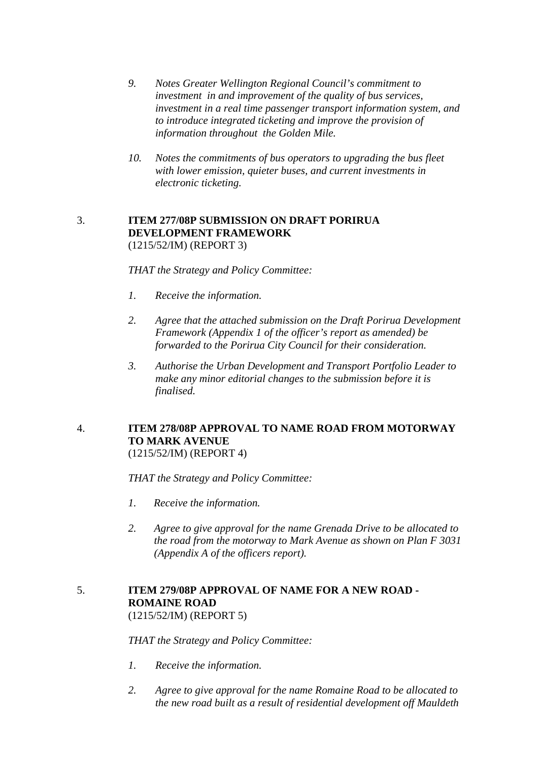- *9. Notes Greater Wellington Regional Council's commitment to investment in and improvement of the quality of bus services, investment in a real time passenger transport information system, and to introduce integrated ticketing and improve the provision of information throughout the Golden Mile.*
- *10. Notes the commitments of bus operators to upgrading the bus fleet with lower emission, quieter buses, and current investments in electronic ticketing.*

#### 3. **ITEM 277/08P SUBMISSION ON DRAFT PORIRUA DEVELOPMENT FRAMEWORK** (1215/52/IM) (REPORT 3)

*THAT the Strategy and Policy Committee:*

- *1. Receive the information.*
- *2. Agree that the attached submission on the Draft Porirua Development Framework (Appendix 1 of the officer's report as amended) be forwarded to the Porirua City Council for their consideration.*
- *3. Authorise the Urban Development and Transport Portfolio Leader to make any minor editorial changes to the submission before it is finalised.*

#### 4. **ITEM 278/08P APPROVAL TO NAME ROAD FROM MOTORWAY TO MARK AVENUE** (1215/52/IM) (REPORT 4)

*THAT the Strategy and Policy Committee:*

- *1. Receive the information.*
- *2. Agree to give approval for the name Grenada Drive to be allocated to the road from the motorway to Mark Avenue as shown on Plan F 3031 (Appendix A of the officers report).*

#### 5. **ITEM 279/08P APPROVAL OF NAME FOR A NEW ROAD - ROMAINE ROAD** (1215/52/IM) (REPORT 5)

*THAT the Strategy and Policy Committee:*

- *1. Receive the information.*
- *2. Agree to give approval for the name Romaine Road to be allocated to the new road built as a result of residential development off Mauldeth*